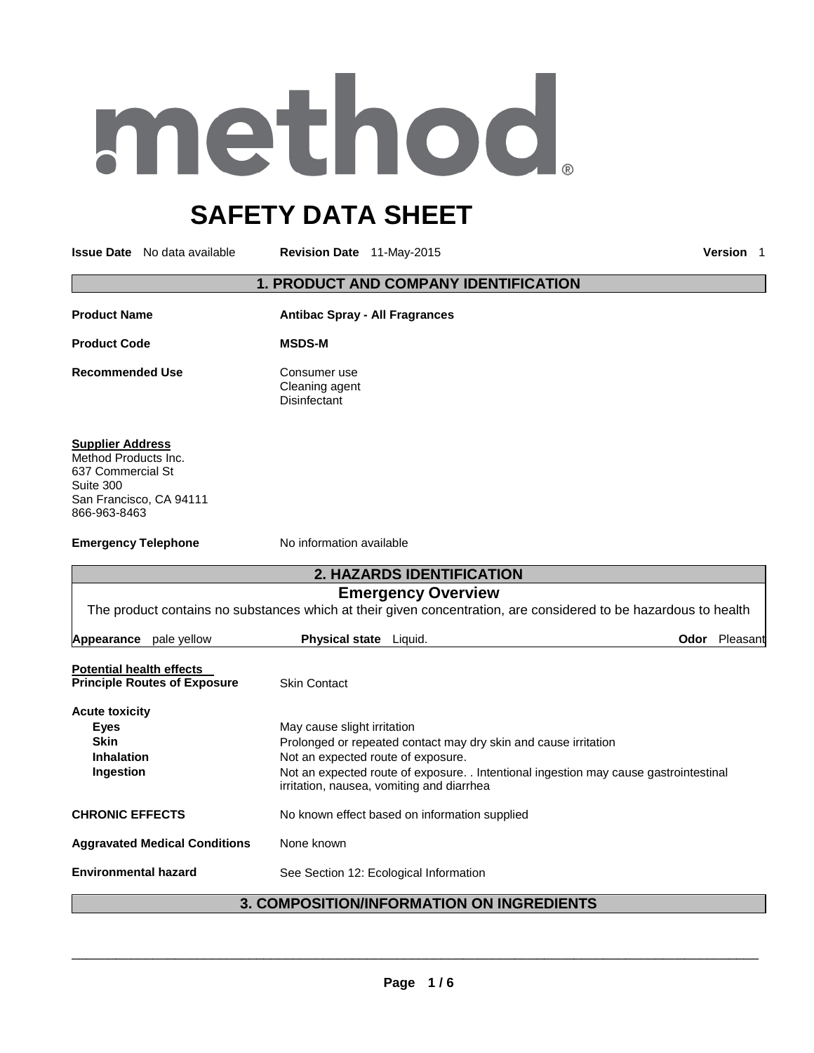# method

# **SAFETY DATA SHEET**

**Issue Date** No data available **Revision Date** 11-May-2015 **Version** 1

### **1. PRODUCT AND COMPANY IDENTIFICATION**

| <b>Product Name</b> | <b>Antibac Spray - All Fragrances</b>          |  |
|---------------------|------------------------------------------------|--|
| <b>Product Code</b> | <b>MSDS-M</b>                                  |  |
| Recommended Use     | Consumer use<br>Cleaning agent<br>Disinfectant |  |

### **Supplier Address**

Method Products Inc. 637 Commercial St Suite 300 San Francisco, CA 94111 866-963-8463

**Emergency Telephone No information available** 

| <b>2. HAZARDS IDENTIFICATION</b>     |                     |  |                                                                                                    |                                                                                                                                                                                                         |                                                                                                                                                                                                        |
|--------------------------------------|---------------------|--|----------------------------------------------------------------------------------------------------|---------------------------------------------------------------------------------------------------------------------------------------------------------------------------------------------------------|--------------------------------------------------------------------------------------------------------------------------------------------------------------------------------------------------------|
| <b>Emergency Overview</b>            |                     |  |                                                                                                    |                                                                                                                                                                                                         |                                                                                                                                                                                                        |
|                                      |                     |  |                                                                                                    |                                                                                                                                                                                                         |                                                                                                                                                                                                        |
| pale yellow                          |                     |  |                                                                                                    | Odor                                                                                                                                                                                                    | Pleasant                                                                                                                                                                                               |
| <b>Potential health effects</b>      |                     |  |                                                                                                    |                                                                                                                                                                                                         |                                                                                                                                                                                                        |
| <b>Principle Routes of Exposure</b>  | <b>Skin Contact</b> |  |                                                                                                    |                                                                                                                                                                                                         |                                                                                                                                                                                                        |
|                                      |                     |  |                                                                                                    |                                                                                                                                                                                                         |                                                                                                                                                                                                        |
|                                      |                     |  |                                                                                                    |                                                                                                                                                                                                         |                                                                                                                                                                                                        |
|                                      |                     |  |                                                                                                    |                                                                                                                                                                                                         |                                                                                                                                                                                                        |
|                                      |                     |  |                                                                                                    |                                                                                                                                                                                                         |                                                                                                                                                                                                        |
|                                      |                     |  |                                                                                                    |                                                                                                                                                                                                         |                                                                                                                                                                                                        |
| <b>CHRONIC EFFECTS</b>               |                     |  |                                                                                                    |                                                                                                                                                                                                         |                                                                                                                                                                                                        |
| <b>Aggravated Medical Conditions</b> | None known          |  |                                                                                                    |                                                                                                                                                                                                         |                                                                                                                                                                                                        |
| <b>Environmental hazard</b>          |                     |  |                                                                                                    |                                                                                                                                                                                                         |                                                                                                                                                                                                        |
|                                      |                     |  | <b>Physical state</b> Liquid.<br>May cause slight irritation<br>Not an expected route of exposure. | Prolonged or repeated contact may dry skin and cause irritation<br>irritation, nausea, vomiting and diarrhea<br>No known effect based on information supplied<br>See Section 12: Ecological Information | The product contains no substances which at their given concentration, are considered to be hazardous to health<br>Not an expected route of exposure. Intentional ingestion may cause gastrointestinal |

# **3. COMPOSITION/INFORMATION ON INGREDIENTS**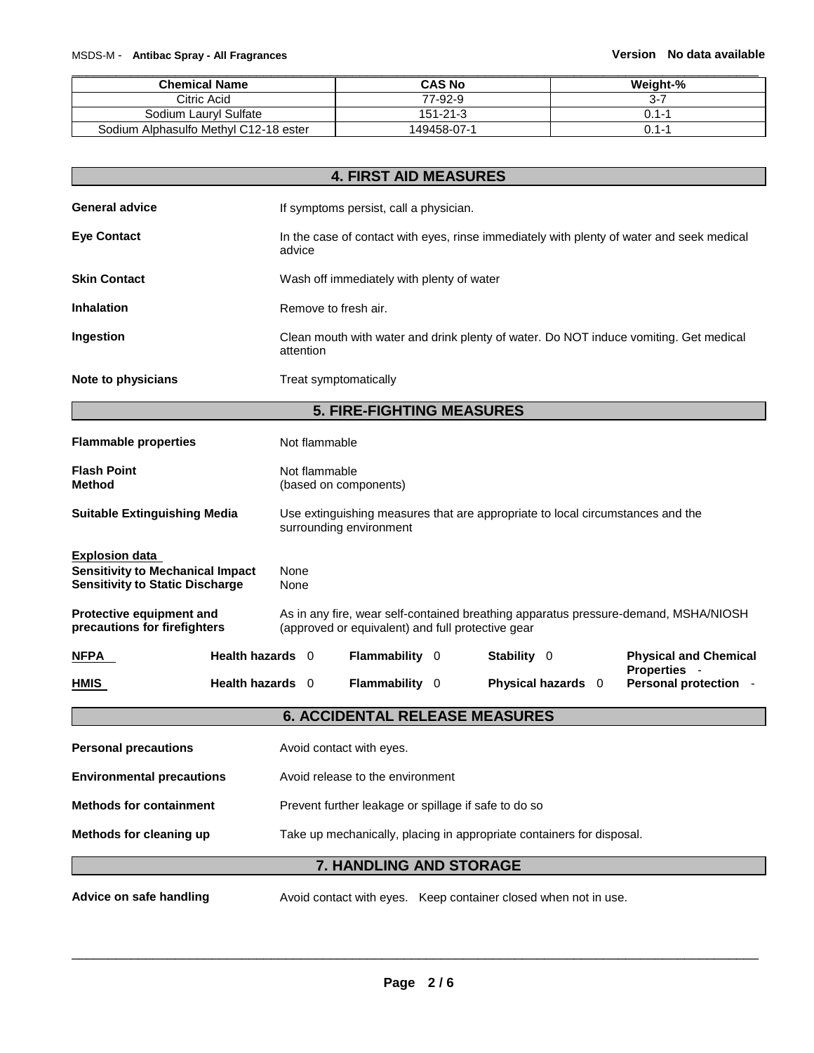| <b>Chemical Name</b>                  | <b>CAS No</b>  | Weight-%  |
|---------------------------------------|----------------|-----------|
| Citric Acid                           | 77-92-9        | $3 - 7$   |
| Sodium Lauryl Sulfate                 | $151 - 21 - 3$ | $0.1 - 1$ |
| Sodium Alphasulfo Methyl C12-18 ester | 149458-07-1    | $0.1 - 1$ |

|                                                                                                            | <b>4. FIRST AID MEASURES</b>                                                                                                             |                                                                                                           |  |             |                    |                                                                                       |
|------------------------------------------------------------------------------------------------------------|------------------------------------------------------------------------------------------------------------------------------------------|-----------------------------------------------------------------------------------------------------------|--|-------------|--------------------|---------------------------------------------------------------------------------------|
| <b>General advice</b>                                                                                      |                                                                                                                                          | If symptoms persist, call a physician.                                                                    |  |             |                    |                                                                                       |
| <b>Eye Contact</b>                                                                                         | advice                                                                                                                                   | In the case of contact with eyes, rinse immediately with plenty of water and seek medical                 |  |             |                    |                                                                                       |
| <b>Skin Contact</b>                                                                                        |                                                                                                                                          | Wash off immediately with plenty of water                                                                 |  |             |                    |                                                                                       |
| <b>Inhalation</b>                                                                                          | Remove to fresh air.                                                                                                                     |                                                                                                           |  |             |                    |                                                                                       |
| Ingestion                                                                                                  | attention                                                                                                                                |                                                                                                           |  |             |                    | Clean mouth with water and drink plenty of water. Do NOT induce vomiting. Get medical |
| Note to physicians                                                                                         |                                                                                                                                          | Treat symptomatically                                                                                     |  |             |                    |                                                                                       |
|                                                                                                            |                                                                                                                                          | <b>5. FIRE-FIGHTING MEASURES</b>                                                                          |  |             |                    |                                                                                       |
| <b>Flammable properties</b>                                                                                | Not flammable                                                                                                                            |                                                                                                           |  |             |                    |                                                                                       |
| <b>Flash Point</b><br><b>Method</b>                                                                        | Not flammable                                                                                                                            | (based on components)                                                                                     |  |             |                    |                                                                                       |
| <b>Suitable Extinguishing Media</b>                                                                        |                                                                                                                                          | Use extinguishing measures that are appropriate to local circumstances and the<br>surrounding environment |  |             |                    |                                                                                       |
| <b>Explosion data</b><br><b>Sensitivity to Mechanical Impact</b><br><b>Sensitivity to Static Discharge</b> | None<br>None                                                                                                                             |                                                                                                           |  |             |                    |                                                                                       |
| Protective equipment and<br>precautions for firefighters                                                   | As in any fire, wear self-contained breathing apparatus pressure-demand, MSHA/NIOSH<br>(approved or equivalent) and full protective gear |                                                                                                           |  |             |                    |                                                                                       |
| NFPA                                                                                                       | Health hazards 0                                                                                                                         | Flammability 0                                                                                            |  | Stability 0 |                    | <b>Physical and Chemical</b><br>Properties -                                          |
| HMIS                                                                                                       | Health hazards 0                                                                                                                         | <b>Flammability 0</b>                                                                                     |  |             | Physical hazards 0 | Personal protection -                                                                 |
|                                                                                                            |                                                                                                                                          | <b>6. ACCIDENTAL RELEASE MEASURES</b>                                                                     |  |             |                    |                                                                                       |
| <b>Personal precautions</b>                                                                                |                                                                                                                                          | Avoid contact with eyes.                                                                                  |  |             |                    |                                                                                       |
| <b>Environmental precautions</b>                                                                           | Avoid release to the environment                                                                                                         |                                                                                                           |  |             |                    |                                                                                       |
| <b>Methods for containment</b>                                                                             | Prevent further leakage or spillage if safe to do so                                                                                     |                                                                                                           |  |             |                    |                                                                                       |
| Methods for cleaning up<br>Take up mechanically, placing in appropriate containers for disposal.           |                                                                                                                                          |                                                                                                           |  |             |                    |                                                                                       |
| 7. HANDLING AND STORAGE                                                                                    |                                                                                                                                          |                                                                                                           |  |             |                    |                                                                                       |
| Advice on safe handling                                                                                    |                                                                                                                                          | Avoid contact with eyes. Keep container closed when not in use.                                           |  |             |                    |                                                                                       |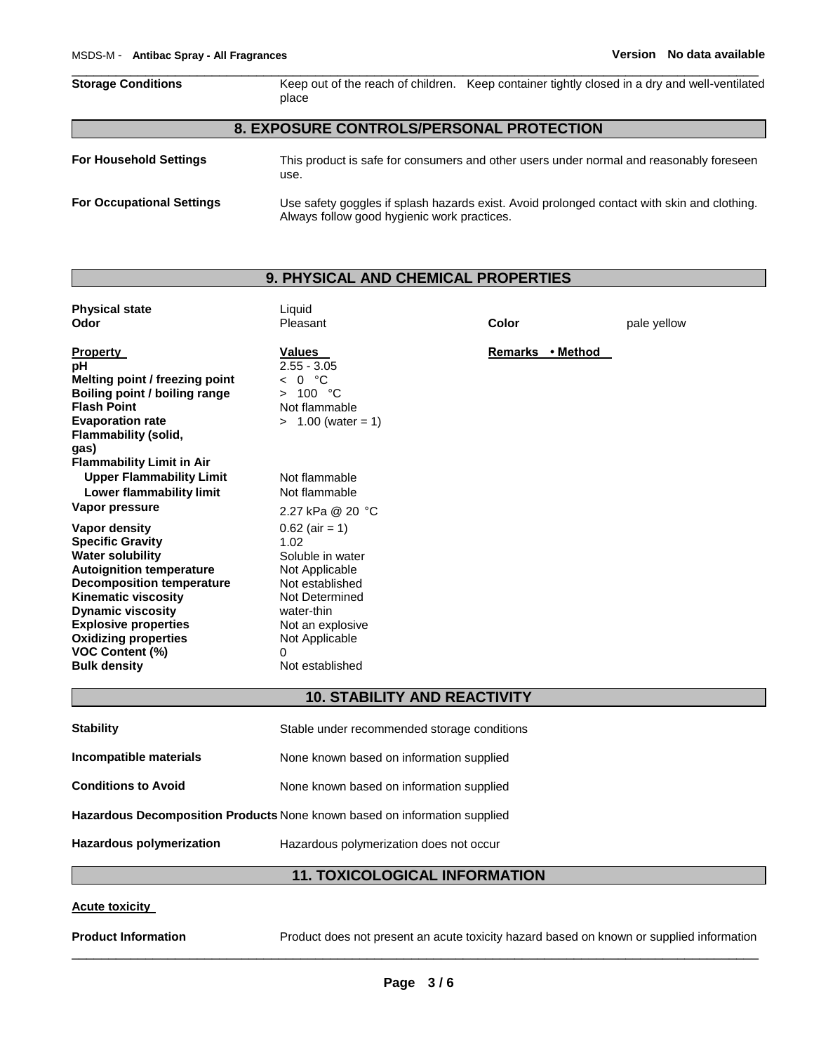| <b>Storage Conditions</b>     | place                                    | Keep out of the reach of children. Keep container tightly closed in a dry and well-ventilated |
|-------------------------------|------------------------------------------|-----------------------------------------------------------------------------------------------|
|                               | 8. EXPOSURE CONTROLS/PERSONAL PROTECTION |                                                                                               |
| <b>For Household Settings</b> | use.                                     | This product is safe for consumers and other users under normal and reasonably foreseen       |

\_\_\_\_\_\_\_\_\_\_\_\_\_\_\_\_\_\_\_\_\_\_\_\_\_\_\_\_\_\_\_\_\_\_\_\_\_\_\_\_\_\_\_\_\_\_\_\_\_\_\_\_\_\_\_\_\_\_\_\_\_\_\_\_\_\_\_\_\_\_\_\_\_\_\_\_\_\_\_\_\_\_\_\_\_\_\_\_\_\_\_\_\_

| <b>For Occupational Settings</b> | Use safety goggles if splash hazards exist. Avoid prolonged contact with skin and clothing. |
|----------------------------------|---------------------------------------------------------------------------------------------|
|                                  | Always follow good hygienic work practices.                                                 |

# **9. PHYSICAL AND CHEMICAL PROPERTIES**

| <b>Physical state</b><br>Odor                                                                                                                                                                                                                                                                                       | Liquid<br>Pleasant                                                                                                                                                              | Color            | pale yellow |
|---------------------------------------------------------------------------------------------------------------------------------------------------------------------------------------------------------------------------------------------------------------------------------------------------------------------|---------------------------------------------------------------------------------------------------------------------------------------------------------------------------------|------------------|-------------|
| <b>Property</b><br>рH<br>Melting point / freezing point<br>Boiling point / boiling range<br><b>Flash Point</b><br><b>Evaporation rate</b><br>Flammability (solid,<br>gas)                                                                                                                                           | Values<br>$2.55 - 3.05$<br>0 °C<br>$\overline{\phantom{0}}$<br>100 °C<br>$\geq$<br>Not flammable<br>$> 1.00$ (water = 1)                                                        | Remarks • Method |             |
| <b>Flammability Limit in Air</b><br><b>Upper Flammability Limit</b><br>Lower flammability limit<br>Vapor pressure                                                                                                                                                                                                   | Not flammable<br>Not flammable<br>2.27 kPa @ 20 °C                                                                                                                              |                  |             |
| Vapor density<br><b>Specific Gravity</b><br><b>Water solubility</b><br><b>Autoignition temperature</b><br><b>Decomposition temperature</b><br><b>Kinematic viscosity</b><br><b>Dynamic viscosity</b><br><b>Explosive properties</b><br><b>Oxidizing properties</b><br><b>VOC Content (%)</b><br><b>Bulk density</b> | $0.62$ (air = 1)<br>1.02<br>Soluble in water<br>Not Applicable<br>Not established<br>Not Determined<br>water-thin<br>Not an explosive<br>Not Applicable<br>0<br>Not established |                  |             |

# **10. STABILITY AND REACTIVITY**

| <b>Stability</b>                                                          | Stable under recommended storage conditions |
|---------------------------------------------------------------------------|---------------------------------------------|
| Incompatible materials                                                    | None known based on information supplied    |
| <b>Conditions to Avoid</b>                                                | None known based on information supplied    |
| Hazardous Decomposition Products None known based on information supplied |                                             |
| Hazardous polymerization                                                  | Hazardous polymerization does not occur     |

# **11. TOXICOLOGICAL INFORMATION**

# **Acute toxicity**

**Product Information** Product does not present an acute toxicity hazard based on known or supplied information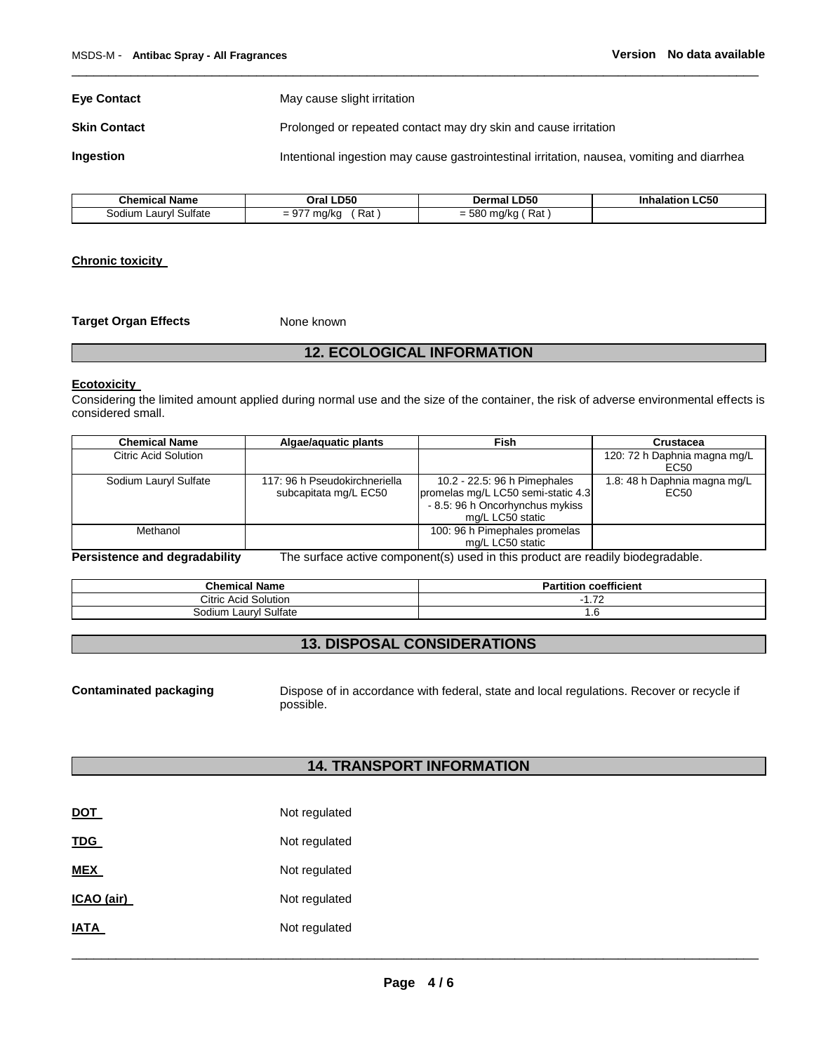**Eye Contact** May cause slight irritation **Skin Contact** Prolonged or repeated contact may dry skin and cause irritation **Ingestion Intentional ingestion may cause gastrointestinal irritation, nausea, vomiting and diarrhea** 

\_\_\_\_\_\_\_\_\_\_\_\_\_\_\_\_\_\_\_\_\_\_\_\_\_\_\_\_\_\_\_\_\_\_\_\_\_\_\_\_\_\_\_\_\_\_\_\_\_\_\_\_\_\_\_\_\_\_\_\_\_\_\_\_\_\_\_\_\_\_\_\_\_\_\_\_\_\_\_\_\_\_\_\_\_\_\_\_\_\_\_\_\_

| <b>Chemical Name</b>  | Oral LD50            | Dermal LD50         | <b>Inhalation LC50</b> |
|-----------------------|----------------------|---------------------|------------------------|
| Sodium Lauryl Sulfate | $= 977$ mg/kg<br>Rat | $=$ 580 mg/kg (Rat) |                        |

#### **Chronic toxicity**

**Target Organ Effects** None known

## **12. ECOLOGICAL INFORMATION**

#### **Ecotoxicity**

Considering the limited amount applied during normal use and the size of the container, the risk of adverse environmental effects is considered small.

| <b>Chemical Name</b>  | Algae/aguatic plants                                   | Fish                                                                                                                      | Crustacea                            |
|-----------------------|--------------------------------------------------------|---------------------------------------------------------------------------------------------------------------------------|--------------------------------------|
| Citric Acid Solution  |                                                        |                                                                                                                           | 120: 72 h Daphnia magna mg/L<br>EC50 |
| Sodium Lauryl Sulfate | 117: 96 h Pseudokirchneriella<br>subcapitata mg/L EC50 | 10.2 - 22.5: 96 h Pimephales<br>promelas mg/L LC50 semi-static 4.3<br>- 8.5: 96 h Oncorhynchus mykiss<br>mg/L LC50 static | 1.8: 48 h Daphnia magna mg/L<br>EC50 |
| Methanol              |                                                        | 100: 96 h Pimephales promelas<br>mg/L LC50 static                                                                         |                                      |

**Persistence and degradability** The surface active component(s) used in this product are readily biodegradable.

| <b>Chemical Name</b>                       | coefficient<br>$\cdot$<br>$-1.14$ . $-1.0$<br>artition |
|--------------------------------------------|--------------------------------------------------------|
| <b>Citric Acid Solution</b>                | $\overline{70}$<br>. <i>. .</i>                        |
| Sulfate<br>.codi<br>$\mathbf{m}$<br>Laury! | ٥                                                      |

# **13. DISPOSAL CONSIDERATIONS**

**Contaminated packaging** Dispose of in accordance with federal, state and local regulations. Recover or recycle if possible.

# **14. TRANSPORT INFORMATION**

| <b>DOT</b>  | Not regulated |
|-------------|---------------|
| <b>TDG</b>  | Not regulated |
| <b>MEX</b>  | Not regulated |
| ICAO (air)  | Not regulated |
| <b>IATA</b> | Not regulated |
|             |               |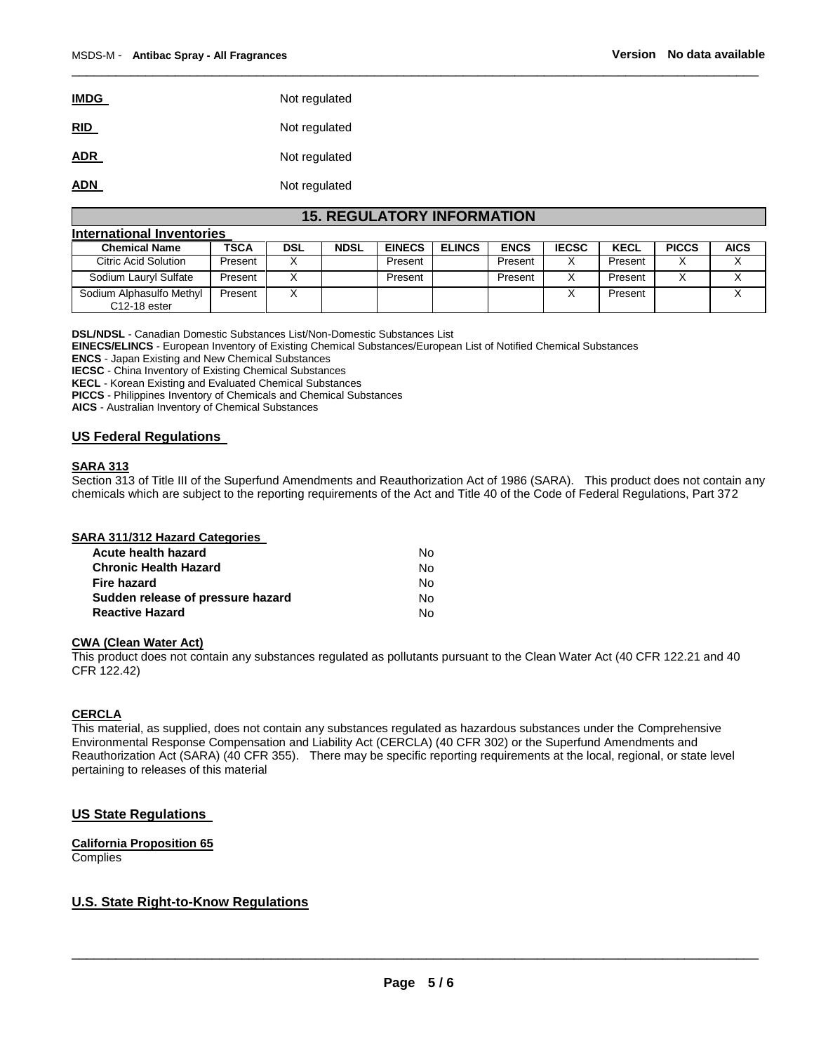| <b>IMDG</b> | Not regulated |
|-------------|---------------|
| <b>RID</b>  | Not regulated |
| <b>ADR</b>  | Not regulated |
| <b>ADN</b>  | Not regulated |

# **15. REGULATORY INFORMATION**

\_\_\_\_\_\_\_\_\_\_\_\_\_\_\_\_\_\_\_\_\_\_\_\_\_\_\_\_\_\_\_\_\_\_\_\_\_\_\_\_\_\_\_\_\_\_\_\_\_\_\_\_\_\_\_\_\_\_\_\_\_\_\_\_\_\_\_\_\_\_\_\_\_\_\_\_\_\_\_\_\_\_\_\_\_\_\_\_\_\_\_\_\_

| International Inventories                  |             |            |             |               |               |             |              |         |              |             |
|--------------------------------------------|-------------|------------|-------------|---------------|---------------|-------------|--------------|---------|--------------|-------------|
| <b>Chemical Name</b>                       | <b>TSCA</b> | <b>DSL</b> | <b>NDSL</b> | <b>EINECS</b> | <b>ELINCS</b> | <b>ENCS</b> | <b>IECSC</b> | KECL    | <b>PICCS</b> | <b>AICS</b> |
| Citric Acid Solution                       | Present     |            |             | Present       |               | Present     |              | Present |              |             |
| Sodium Lauryl Sulfate                      | Present     |            |             | Present       |               | Present     | X            | Present |              |             |
| Sodium Alphasulfo Methyl<br>$C12-18$ ester | Present     |            |             |               |               |             |              | Present |              |             |

**DSL/NDSL** - Canadian Domestic Substances List/Non-Domestic Substances List

**EINECS/ELINCS** - European Inventory of Existing Chemical Substances/European List of Notified Chemical Substances

**ENCS** - Japan Existing and New Chemical Substances

**IECSC** - China Inventory of Existing Chemical Substances

**KECL** - Korean Existing and Evaluated Chemical Substances

**PICCS** - Philippines Inventory of Chemicals and Chemical Substances

**AICS** - Australian Inventory of Chemical Substances

#### **US Federal Regulations**

#### **SARA 313**

Section 313 of Title III of the Superfund Amendments and Reauthorization Act of 1986 (SARA). This product does not contain any chemicals which are subject to the reporting requirements of the Act and Title 40 of the Code of Federal Regulations, Part 372

| <b>SARA 311/312 Hazard Categories</b> |     |
|---------------------------------------|-----|
| Acute health hazard                   | N٥  |
| <b>Chronic Health Hazard</b>          | N٥  |
| <b>Fire hazard</b>                    | No. |

| Sudden release of pressure hazard | No. |
|-----------------------------------|-----|
| <b>Reactive Hazard</b>            | No. |
|                                   |     |

#### **CWA (Clean Water Act)**

This product does not contain any substances regulated as pollutants pursuant to the Clean Water Act (40 CFR 122.21 and 40 CFR 122.42)

#### **CERCLA**

This material, as supplied, does not contain any substances regulated as hazardous substances under the Comprehensive Environmental Response Compensation and Liability Act (CERCLA) (40 CFR 302) or the Superfund Amendments and Reauthorization Act (SARA) (40 CFR 355). There may be specific reporting requirements at the local, regional, or state level pertaining to releases of this material

#### **US State Regulations**

**California Proposition 65 Complies** 

#### **U.S. State Right-to-Know Regulations**